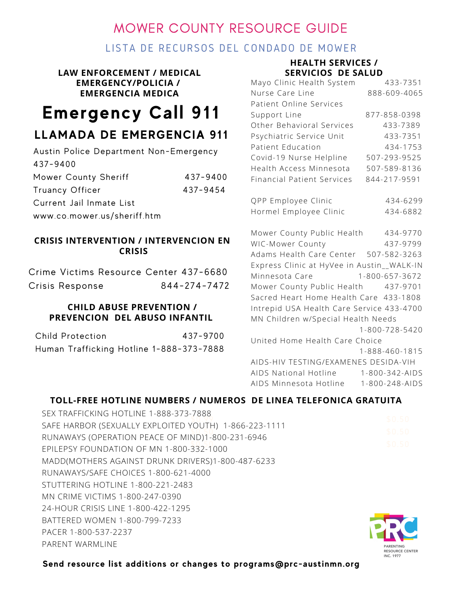# MOWER COUNTY RESOURCE GUIDE

### LISTA DE RECURSOS DEL CONDADO DE MOWER

### **LAW ENFORCEMENT / MEDICAL EMERGENCY/POLICIA / EMERGENCIA MEDICA**

# **Emergency Call 911**

## **LLAMADA DE EMERGENCIA 911**

| Austin Police Department Non-Emergency |          |
|----------------------------------------|----------|
| 437-9400                               |          |
| Mower County Sheriff                   | 437-9400 |
| Truancy Officer                        | 437-9454 |
| Current Jail Inmate List               |          |
| www.co.mower.us/sheriff.htm            |          |

### **CRISIS INTERVENTION / INTERVENCION EN CRISIS**

| Crime Victims Resource Center 437-6680 |  |              |
|----------------------------------------|--|--------------|
| Crisis Response                        |  | 844-274-7472 |

### **CHILD ABUSE PREVENTION / PREVENCION DEL ABUSO INFANTIL**

| Child Protection | 437-9700                                 |
|------------------|------------------------------------------|
|                  | Human Trafficking Hotline 1-888-373-7888 |

### **HEALTH SERVICES / SERVICIOS DE SALUD**

| SLRVICIUS DL SALUD                         |                |
|--------------------------------------------|----------------|
| Mayo Clinic Health System                  | 433-7351       |
| Nurse Care Line                            | 888-609-4065   |
| Patient Online Services                    |                |
| Support Line                               | 877-858-0398   |
| Other Behavioral Services                  | 433-7389       |
| Psychiatric Service Unit                   | 433-7351       |
| Patient Education                          | 434-1753       |
| Covid-19 Nurse Helpline                    | 507-293-9525   |
| Health Access Minnesota                    | 507-589-8136   |
| <b>Financial Patient Services</b>          | 844-217-9591   |
|                                            |                |
| QPP Employee Clinic                        | 434-6299       |
| Hormel Employee Clinic                     | 434-6882       |
|                                            |                |
| Mower County Public Health 434-9770        |                |
| WIC-Mower County                           | 437-9799       |
| Adams Health Care Center 507-582-3263      |                |
| Express Clinic at HyVee in Austin__WALK-IN |                |
| Minnesota Care                             | 1-800-657-3672 |
| Mower County Public Health 437-9701        |                |
| Sacred Heart Home Health Care 433-1808     |                |
| Intrepid USA Health Care Service 433-4700  |                |
| MN Children w/Special Health Needs         |                |
|                                            | 1-800-728-5420 |
| United Home Health Care Choice             |                |
|                                            | 1-888-460-1815 |
|                                            |                |

AIDS-HIV TESTING/EXAMENES DESIDA-VIH AIDS National Hotline 1-800-342-AIDS AIDS Minnesota Hotline 1-800-248-AIDS

### **TOLL-FREE HOTLINE NUMBERS / NUMEROS DE LINEA TELEFONICA GRATUITA**

| SEX TRAFFICKING HOTLINE 1-888-373-7888                | \$0.50           |
|-------------------------------------------------------|------------------|
| SAFE HARBOR (SEXUALLY EXPLOITED YOUTH) 1-866-223-1111 |                  |
| RUNAWAYS (OPERATION PEACE OF MIND)1-800-231-6946      | \$0.50           |
| EPILEPSY FOUNDATION OF MN 1-800-332-1000              | \$0.50           |
| MADD(MOTHERS AGAINST DRUNK DRIVERS)1-800-487-6233     |                  |
| RUNAWAYS/SAFE CHOICES 1-800-621-4000                  |                  |
| STUTTERING HOTLINE 1-800-221-2483                     |                  |
| MN CRIME VICTIMS 1-800-247-0390                       |                  |
| 24-HOUR CRISIS LINE 1-800-422-1295                    |                  |
| BATTERED WOMEN 1-800-799-7233                         |                  |
| PACER 1-800-537-2237                                  |                  |
| PARENT WARMLINE                                       | <b>PARENTING</b> |



**Send resource list additions or changes to programs@prc-austinmn.org**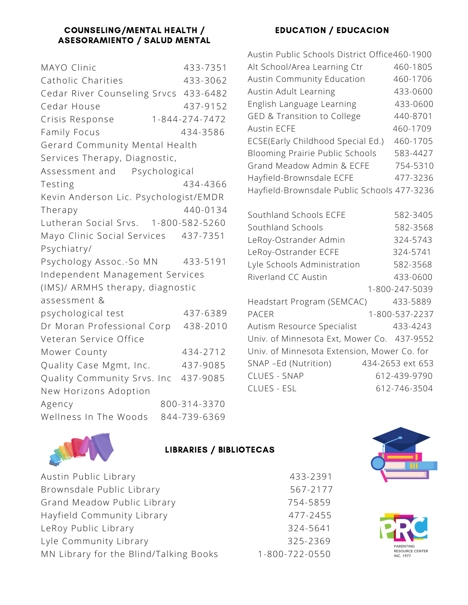### COUNSELING/MENTAL HEALTH / ASESORAMIENTO / SALUD MENTAL

| MAYO Clinic                           | 433-7351       |
|---------------------------------------|----------------|
| Catholic Charities                    | 433-3062       |
| Cedar River Counseling Srvcs 433-6482 |                |
| Cedar House                           | 437-9152       |
| Crisis Response                       | 1-844-274-7472 |
| Family Focus                          | 434-3586       |
| Gerard Community Mental Health        |                |
| Services Therapy, Diagnostic,         |                |
| Assessment and Psychological          |                |
| Testing                               | 434-4366       |
| Kevin Anderson Lic. Psychologist/EMDR |                |
| Therapy                               | 440-0134       |
| Lutheran Social Srvs. 1-800-582-5260  |                |
| Mayo Clinic Social Services 437-7351  |                |
| Psychiatry/                           |                |
| Psychology Assoc.-So MN               | 433-5191       |
| Independent Management Services       |                |
| (IMS)/ ARMHS therapy, diagnostic      |                |
| assessment &                          |                |
| psychological test                    | 437-6389       |
| Dr Moran Professional Corp            | 438-2010       |
| Veteran Service Office                |                |
| Mower County                          | 434-2712       |
| Quality Case Mgmt, Inc.               | 437-9085       |
| Quality Community Srvs. Inc           | 437-9085       |
| New Horizons Adoption                 |                |
| Agency                                | 800-314-3370   |
| Wellness In The Woods                 | 844-739-6369   |

### EDUCATION / EDUCACION

| Austin Public Schools District Office460-1900 |                  |
|-----------------------------------------------|------------------|
| Alt School/Area Learning Ctr                  | 460-1805         |
| <b>Austin Community Education</b>             | 460-1706         |
| Austin Adult Learning                         | 433-0600         |
| English Language Learning                     | 433-0600         |
| GED & Transition to College                   | 440-8701         |
| <b>Austin ECFE</b>                            | 460-1709         |
| ECSE(Early Childhood Special Ed.)             | 460-1705         |
| Blooming Prairie Public Schools               | 583-4427         |
| Grand Meadow Admin & ECFE                     | 754-5310         |
| Hayfield-Brownsdale ECFE                      | 477-3236         |
| Hayfield-Brownsdale Public Schools 477-3236   |                  |
|                                               |                  |
| Southland Schools ECFE                        | 582-3405         |
| Southland Schools                             | 582-3568         |
| LeRoy-Ostrander Admin                         | 324-5743         |
| LeRoy-Ostrander ECFE                          | 324-5741         |
| Lyle Schools Administration                   | 582-3568         |
| Riverland CC Austin                           | 433-0600         |
|                                               | 1-800-247-5039   |
| Headstart Program (SEMCAC)                    | 433-5889         |
| <b>PACER</b>                                  | 1-800-537-2237   |
| Autism Resource Specialist                    | 433-4243         |
| Univ. of Minnesota Ext, Mower Co. 437-9552    |                  |
| Univ. of Minnesota Extension, Mower Co. for   |                  |
| SNAP -Ed (Nutrition)                          | 434-2653 ext 653 |
| CLUES - SNAP                                  | 612-439-9790     |

CLUES - ESL 612-746-3504



### LIBRARIES / BIBLIOTECAS

| Austin Public Library                  | 433-2391       |
|----------------------------------------|----------------|
| Brownsdale Public Library              | 567-2177       |
| Grand Meadow Public Library            | 754-5859       |
| Hayfield Community Library             | 477-2455       |
| LeRoy Public Library                   | 324-5641       |
| Lyle Community Library                 | 325-2369       |
| MN Library for the Blind/Talking Books | 1-800-722-0550 |



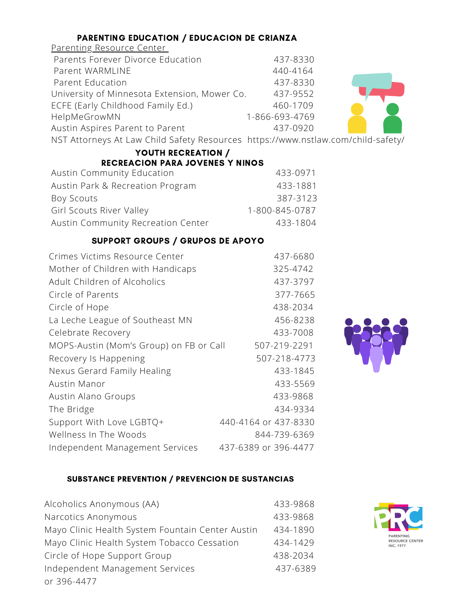### PARENTING EDUCATION / EDUCACION DE CRIANZA

### Parenting Resource Center Parents Forever Divorce Education 437-8330 Parent WARMLINE 440-4164 Parent Education 437-8330 University of Minnesota Extension, Mower Co. 437-9552 ECFE (Early Childhood Family Ed.) 460-1709 HelpMeGrowMN 1-866-693-4769 Austin Aspires Parent to Parent 437-0920 NST Attorneys At Law Child Safety Resources https://www.nstlaw.com/child-safety/

| YOUTH RECREATION /                     |                |  |
|----------------------------------------|----------------|--|
| <b>RECREACION PARA JOVENES Y NINOS</b> |                |  |
| <b>Austin Community Education</b>      | 433-0971       |  |
| Austin Park & Recreation Program       | 433-1881       |  |
| <b>Boy Scouts</b>                      | 387-3123       |  |
| <b>Girl Scouts River Valley</b>        | 1-800-845-0787 |  |
| Austin Community Recreation Center     | 433-1804       |  |

### SUPPORT GROUPS / GRUPOS DE APOYO

| Crimes Victims Resource Center          | 437-6680             |
|-----------------------------------------|----------------------|
| Mother of Children with Handicaps       | 325-4742             |
| Adult Children of Alcoholics            | 437-3797             |
| Circle of Parents                       | 377-7665             |
| Circle of Hope                          | 438-2034             |
| La Leche League of Southeast MN         | 456-8238             |
| Celebrate Recovery                      | 433-7008             |
| MOPS-Austin (Mom's Group) on FB or Call | 507-219-2291         |
| Recovery Is Happening                   | 507-218-4773         |
| Nexus Gerard Family Healing             | 433-1845             |
| Austin Manor                            | 433-5569             |
| Austin Alano Groups                     | 433-9868             |
| The Bridge                              | 434-9334             |
| Support With Love LGBTQ+                | 440-4164 or 437-8330 |
| Wellness In The Woods                   | 844-739-6369         |
| Independent Management Services         | 437-6389 or 396-4477 |
|                                         |                      |



### SUBSTANCE PREVENTION / PREVENCION DE SUSTANCIAS

| Alcoholics Anonymous (AA)                        | 433-9868 |
|--------------------------------------------------|----------|
| Narcotics Anonymous                              | 433-9868 |
| Mayo Clinic Health System Fountain Center Austin | 434-1890 |
| Mayo Clinic Health System Tobacco Cessation      | 434-1429 |
| Circle of Hope Support Group                     | 438-2034 |
| Independent Management Services                  | 437-6389 |
| or 396-4477                                      |          |
|                                                  |          |

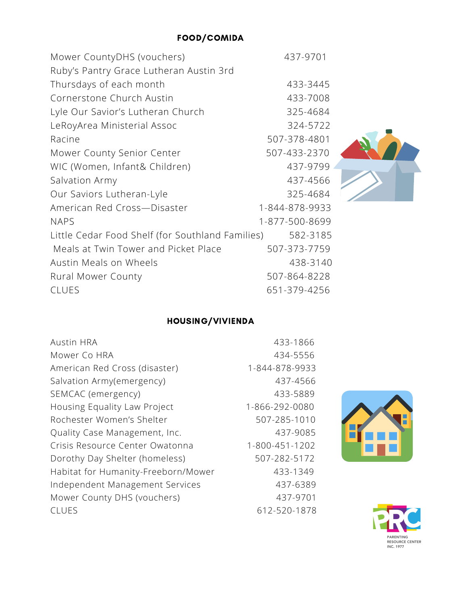| Mower CountyDHS (vouchers)                       | 437-9701       |
|--------------------------------------------------|----------------|
| Ruby's Pantry Grace Lutheran Austin 3rd          |                |
| Thursdays of each month                          | 433-3445       |
| Cornerstone Church Austin                        | 433-7008       |
| Lyle Our Savior's Lutheran Church                | 325-4684       |
| LeRoyArea Ministerial Assoc                      | 324-5722       |
| Racine                                           | 507-378-4801   |
| Mower County Senior Center                       | 507-433-2370   |
| WIC (Women, Infant& Children)                    | 437-9799       |
| Salvation Army                                   | 437-4566       |
| Our Saviors Lutheran-Lyle                        | 325-4684       |
| American Red Cross-Disaster                      | 1-844-878-9933 |
| <b>NAPS</b>                                      | 1-877-500-8699 |
| Little Cedar Food Shelf (for Southland Families) | 582-3185       |
| Meals at Twin Tower and Picket Place             | 507-373-7759   |
| Austin Meals on Wheels                           | 438-3140       |
| <b>Rural Mower County</b>                        | 507-864-8228   |
| <b>CLUES</b>                                     | 651-379-4256   |

# HOUSING/VIVIENDA

| <b>Austin HRA</b>                   | 433-1866       |
|-------------------------------------|----------------|
| Mower Co HRA                        | 434-5556       |
| American Red Cross (disaster)       | 1-844-878-9933 |
| Salvation Army(emergency)           | 437-4566       |
| SEMCAC (emergency)                  | 433-5889       |
| Housing Equality Law Project        | 1-866-292-0080 |
| Rochester Women's Shelter           | 507-285-1010   |
| Quality Case Management, Inc.       | 437-9085       |
| Crisis Resource Center Owatonna     | 1-800-451-1202 |
| Dorothy Day Shelter (homeless)      | 507-282-5172   |
| Habitat for Humanity-Freeborn/Mower | 433-1349       |
| Independent Management Services     | 437-6389       |
| Mower County DHS (vouchers)         | 437-9701       |
| CLUES                               | 612-520-1878   |
|                                     |                |





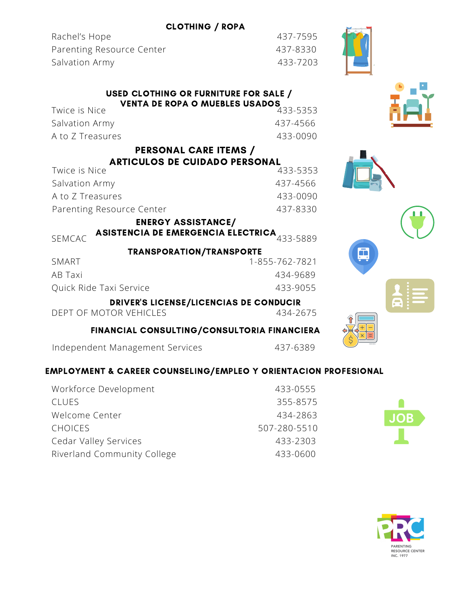### CLOTHING / ROPA

Rachel's Hope 437-7595 Parenting Resource Center 437-8330 Salvation Army 133-7203

|               | <b>USED CLOTHING OR FURNITURE FOR SALE /</b> |
|---------------|----------------------------------------------|
|               | <b>VENTA DE ROPA O MUEBLES USADOS</b>        |
| Twice is Nice | 433-5353                                     |

| $71111$ CI $711111$ | — J.J.J.J.J.J |
|---------------------|---------------|
| Salvation Army      | 437-4566      |
| A to Z Treasures    | 433-0090      |
|                     |               |

### PERSONAL CARE ITEMS /

| <b>ARTICULOS DE CUIDADO PERSONAL</b> |          |
|--------------------------------------|----------|
| Twice is Nice                        | 433-5353 |
| Salvation Army                       | 437-4566 |
| A to Z Treasures                     | 433-0090 |
| Parenting Resource Center            | 437-8330 |
|                                      |          |

### ENERGY ASSISTANCE/

SEMCAC ASISTENCIA DE EMERGENCIA ELECTRICA  $_{\rm 433\text{-}5889}$ 

### TRANSPORATION/TRANSPORTE SMART 1-855-762-7821

| AB Taxi                 | 434-9689 |
|-------------------------|----------|
| Quick Ride Taxi Service | 433-9055 |

DRIVER'S LICENSE/LICENCIAS DE CONDUCIR

DEPT OF MOTOR VEHICLES 434-2675

### FINANCIAL CONSULTING/CONSULTORIA FINANCIERA

- Independent Management Services 437-6389
	-

### EMPLOYMENT & CAREER COUNSELING/EMPLEO Y ORIENTACION PROFESIONAL

| Workforce Development       | 433-0555     |
|-----------------------------|--------------|
| <b>CLUES</b>                | 355-8575     |
| Welcome Center              | 434-2863     |
| <b>CHOICES</b>              | 507-280-5510 |
| Cedar Valley Services       | 433-2303     |
| Riverland Community College | 433-0600     |











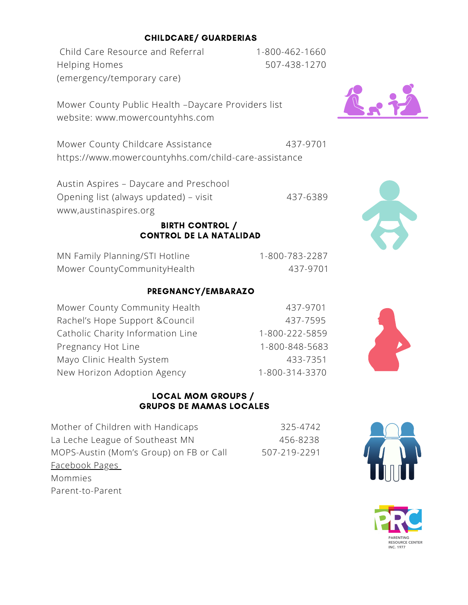### CHILDCARE/ GUARDERIAS

Child Care Resource and Referral 1-800-462-1660 Helping Homes 507-438-1270 (emergency/temporary care)



Mower County Childcare Assistance 437-9701 https://www.mowercountyhhs.com/child-care-assistance

Austin Aspires – Daycare and Preschool Opening list (always updated) – visit 437-6389 www,austinaspires.org

### BIRTH CONTROL / CONTROL DE LA NATALIDAD

| MN Family Planning/STI Hotline | 1-800-783-2287 |
|--------------------------------|----------------|
| Mower CountyCommunityHealth    | 437-9701       |

### PREGNANCY/EMBARAZO

| Mower County Community Health     | 437-9701       |
|-----------------------------------|----------------|
| Rachel's Hope Support & Council   | 437-7595       |
| Catholic Charity Information Line | 1-800-222-5859 |
| Pregnancy Hot Line                | 1-800-848-5683 |
| Mayo Clinic Health System         | 433-7351       |
| New Horizon Adoption Agency       | 1-800-314-3370 |

### LOCAL MOM GROUPS / GRUPOS DE MAMAS LOCALES

Mother of Children with Handicaps 325-4742 La Leche League of Southeast MN 456-8238 MOPS-Austin (Mom's Group) on FB or Call 507-219-2291 Facebook Pages Mommies Parent-to-Parent









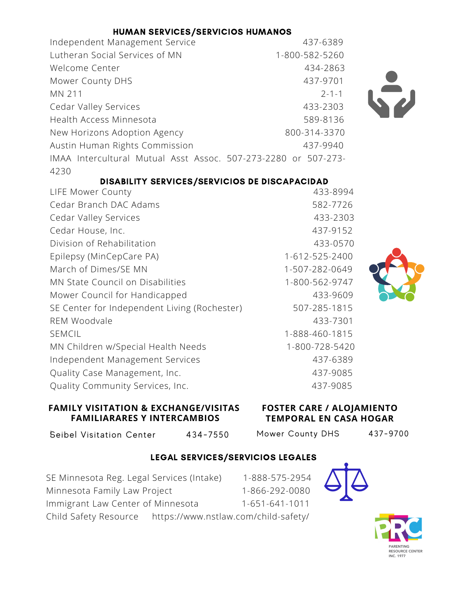| HUMAN SERVICES/SERVICIOS HUMANOS                               |                |
|----------------------------------------------------------------|----------------|
| Independent Management Service                                 | 437-6389       |
| Lutheran Social Services of MN                                 | 1-800-582-5260 |
| Welcome Center                                                 | 434-2863       |
| Mower County DHS                                               | 437-9701       |
| MN 211                                                         | $2 - 1 - 1$    |
| <b>Cedar Valley Services</b>                                   | 433-2303       |
| Health Access Minnesota                                        | 589-8136       |
| New Horizons Adoption Agency                                   | 800-314-3370   |
| Austin Human Rights Commission                                 | 437-9940       |
| IMAA Intercultural Mutual Asst Assoc. 507-273-2280 or 507-273- |                |
| 4230                                                           |                |
| DISABILITY SERVICES/SERVICIOS DE DISCAPACIDAD                  |                |
| LIFE Mower County                                              | 433-8994       |



| 433-0774       |
|----------------|
| 582-7726       |
| 433-2303       |
| 437-9152       |
| 433-0570       |
| 1-612-525-2400 |
| 1-507-282-0649 |
| 1-800-562-9747 |
| 433-9609       |
| 507-285-1815   |
| 433-7301       |
| 1-888-460-1815 |
| 1-800-728-5420 |
| 437-6389       |
| 437-9085       |
| 437-9085       |
|                |

**FAMILY VISITATION & EXCHANGE/VISITAS FAMILIARARES Y INTERCAMBIOS**

### **FOSTER CARE / ALOJAMIENTO TEMPORAL EN CASA HOGAR**

l Seibel Visitation Center 434-7550

Mower County DHS 437-9700

### LEGAL SERVICES/SERVICIOS LEGALES

SE Minnesota Reg. Legal Services (Intake) 1-888-575-2954 Minnesota Family Law Project 1-866-292-0080 Immigrant Law Center of Minnesota 1-651-641-1011 Child Safety Resource https://www.nstlaw.com/child-safety/